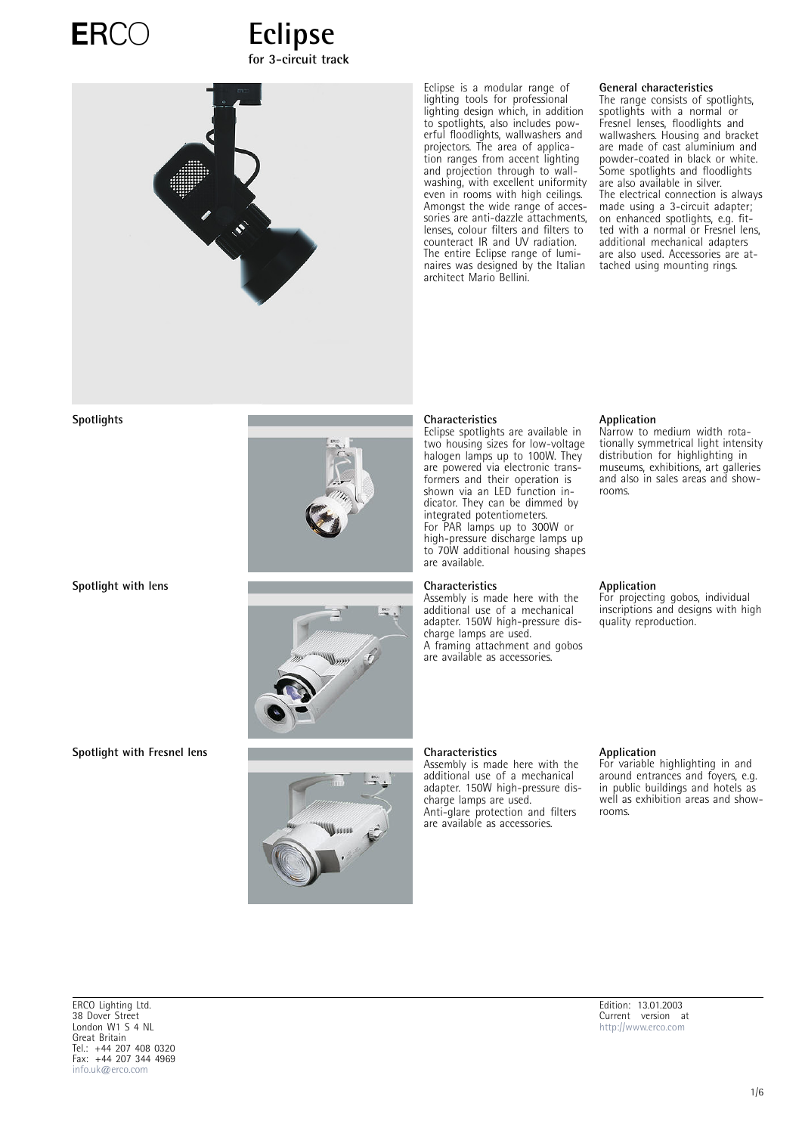

## ERCO
Eclipse **for 3-circuit track**



Eclipse is a modular range of lighting tools for professional lighting design which, in addition to spotlights, also includes powerful floodlights, wallwashers and projectors. The area of application ranges from accent lighting and projection through to wallwashing, with excellent uniformity even in rooms with high ceilings. Amongst the wide range of accessories are anti-dazzle attachments, lenses, colour filters and filters to counteract IR and UV radiation. The entire Eclipse range of luminaires was designed by the Italian architect Mario Bellini.

### **General characteristics**

The range consists of spotlights, spotlights with a normal or Fresnel lenses, floodlights and wallwashers. Housing and bracket are made of cast aluminium and powder-coated in black or white. Some spotlights and floodlights are also available in silver. The electrical connection is always made using a 3-circuit adapter; on enhanced spotlights, e.g. fitted with a normal or Fresnel lens, additional mechanical adapters are also used. Accessories are attached using mounting rings.







Eclipse spotlights are available in two housing sizes for low-voltage halogen lamps up to 100W. They are powered via electronic transformers and their operation is shown via an LED function indicator. They can be dimmed by integrated potentiometers. For PAR lamps up to 300W or high-pressure discharge lamps up to 70W additional housing shapes are available.

Assembly is made here with the additional use of a mechanical adapter. 150W high-pressure discharge lamps are used. A framing attachment and gobos are available as accessories.

Assembly is made here with the additional use of a mechanical adapter. 150W high-pressure discharge lamps are used. Anti-glare protection and filters are available as accessories.

### **Application**

Narrow to medium width rotationally symmetrical light intensity distribution for highlighting in museums, exhibitions, art galleries and also in sales areas and showrooms.

### **Application**

For projecting gobos, individual inscriptions and designs with high quality reproduction.

### **Application**

For variable highlighting in and around entrances and foyers, e.g. in public buildings and hotels as well as exhibition areas and showrooms.

ERCO Lighting Ltd. 38 Dover Street London W1 S 4 NL Great Britain Tel.: +44 207 408 0320 Fax: +44 207 344 4969 [info.uk@erco.com](mailto:info.uk@erco.com)

Edition: 13.01.2003 Current version at [http://www.erco.com](http://www.erco.com/download/data/_lsp/indoor/system/en_gb/en_gb_eclipse_114.pdf)

**Spotlight with Fresnel lens Characteristics**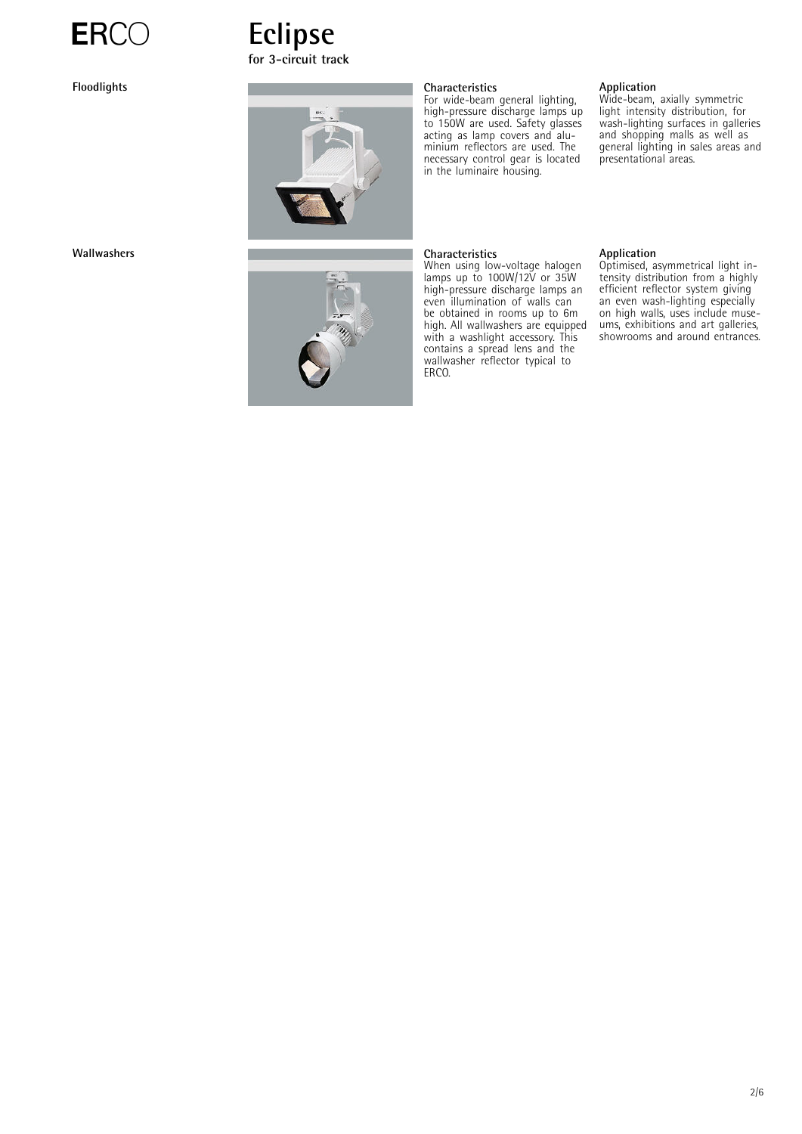







For wide-beam general lighting, high-pressure discharge lamps up to 150W are used. Safety glasses acting as lamp covers and aluminium reflectors are used. The necessary control gear is located in the luminaire housing.

### **Wallwashers Characteristics**

When using low-voltage halogen lamps up to 100W/12V or 35W high-pressure discharge lamps an even illumination of walls can be obtained in rooms up to 6m high. All wallwashers are equipped with a washlight accessory. This contains a spread lens and the wallwasher reflector typical to ERCO.

### **Application**

Wide-beam, axially symmetric light intensity distribution, for wash-lighting surfaces in galleries and shopping malls as well as general lighting in sales areas and presentational areas.

### **Application**

Optimised, asymmetrical light intensity distribution from a highly efficient reflector system giving an even wash-lighting especially on high walls, uses include museums, exhibitions and art galleries, showrooms and around entrances.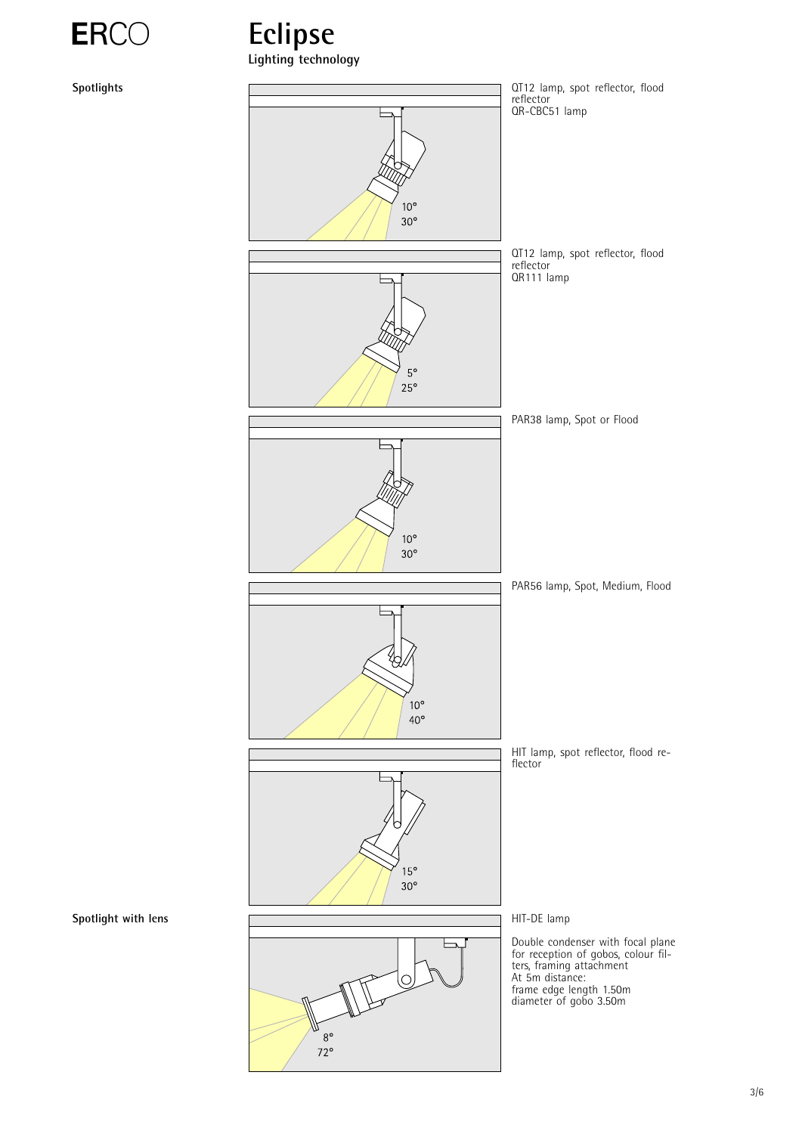



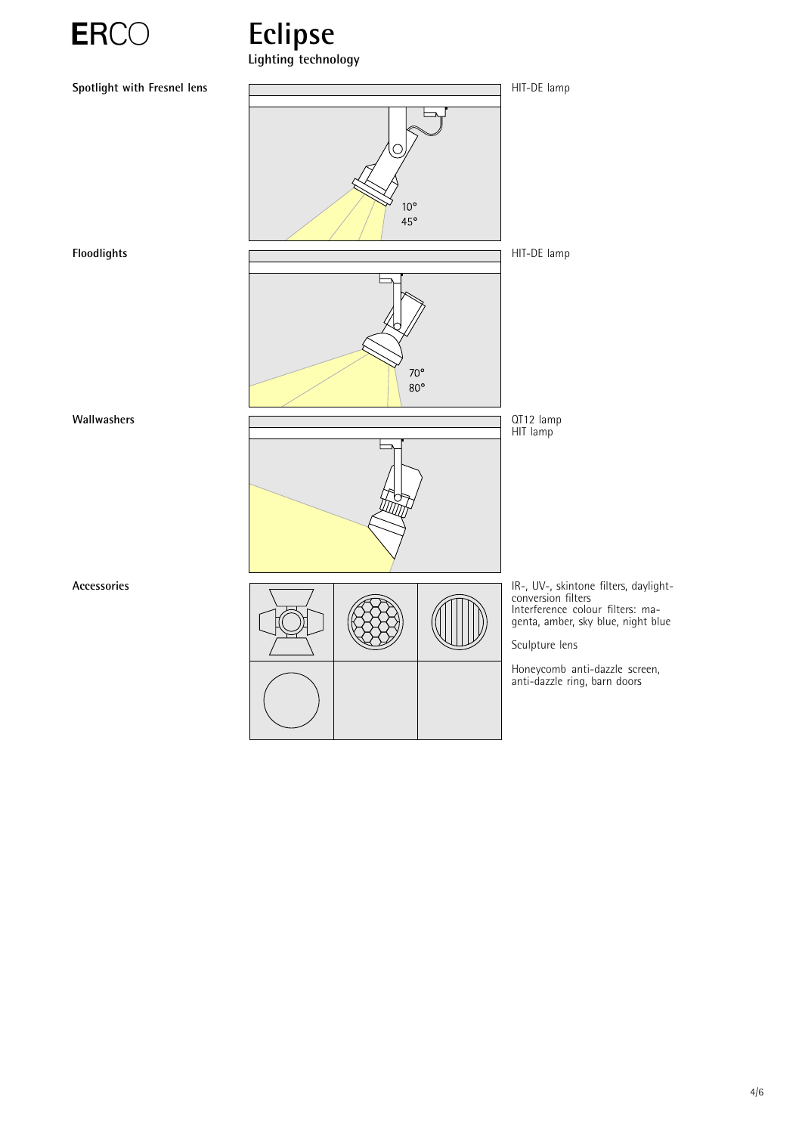

# ERCO Eclipse **Lighting technology**

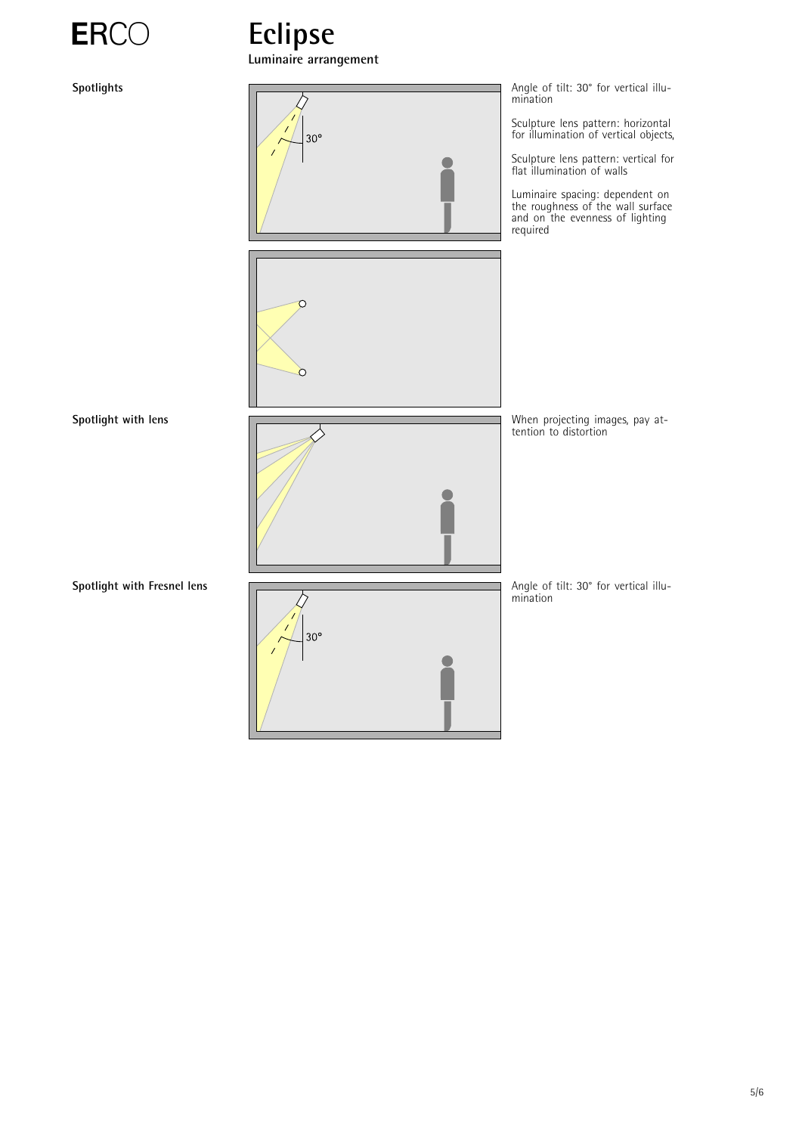

**Luminaire arrangement**